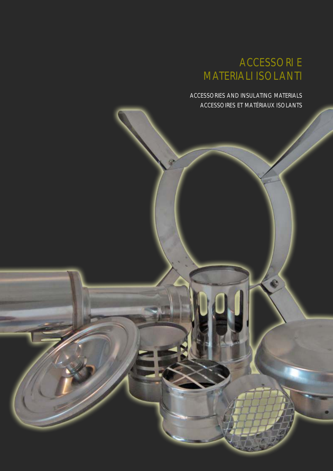ACCESSORIES AND INSULATING MATERIALS ACCESSOIRES ET MATÉRIAUX ISOLANTS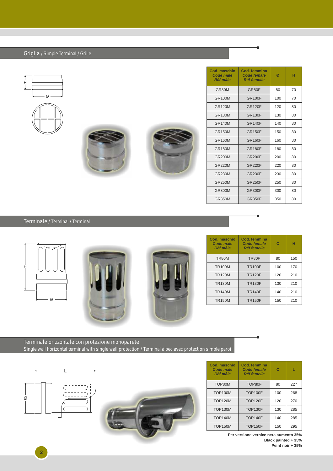Griglia / Simple Terminal / Grille









| Cod. maschio<br><b>Code male</b><br><b>Réf mâle</b> | Cod. femmina<br><b>Code female</b><br><b>Réf femelle</b> | Ø   | н  |
|-----------------------------------------------------|----------------------------------------------------------|-----|----|
| GR80M                                               | GR <sub>80</sub> F                                       | 80  | 70 |
| <b>GR100M</b>                                       | <b>GR100F</b>                                            | 100 | 70 |
| <b>GR120M</b>                                       | <b>GR120F</b>                                            | 120 | 80 |
| <b>GR130M</b>                                       | <b>GR130F</b>                                            | 130 | 80 |
| <b>GR140M</b>                                       | <b>GR140F</b>                                            | 140 | 80 |
| <b>GR150M</b>                                       | <b>GR150F</b>                                            | 150 | 80 |
| <b>GR160M</b>                                       | <b>GR160F</b>                                            | 160 | 80 |
| <b>GR180M</b>                                       | <b>GR180F</b>                                            | 180 | 80 |
| <b>GR200M</b>                                       | <b>GR200F</b>                                            | 200 | 80 |
| <b>GR220M</b>                                       | <b>GR220F</b>                                            | 220 | 80 |
| <b>GR230M</b>                                       | <b>GR230F</b>                                            | 230 | 80 |
| <b>GR250M</b>                                       | <b>GR250F</b>                                            | 250 | 80 |
| GR300M                                              | <b>GR300F</b>                                            | 300 | 80 |
| <b>GR350M</b>                                       | <b>GR350F</b>                                            | 350 | 80 |

Terminale / Terminal / Terminal







| Cod. maschio<br>Code male<br><b>Réf mâle</b> | Cod. femmina<br>Code female<br><b>Réf femelle</b> | Ø   | н   |
|----------------------------------------------|---------------------------------------------------|-----|-----|
| TR80M                                        | TR80F                                             | 80  | 150 |
| <b>TR100M</b>                                | <b>TR100F</b>                                     | 100 | 170 |
| <b>TR120M</b>                                | <b>TR120F</b>                                     | 120 | 210 |
| <b>TR130M</b>                                | <b>TR130F</b>                                     | 130 | 210 |
| <b>TR140M</b>                                | <b>TR140F</b>                                     | 140 | 210 |
| <b>TR150M</b>                                | <b>TR150F</b>                                     | 150 | 210 |

Terminale orizzontale con protezione monoparete Single wall horizontal terminal with single wall protection / Terminal à bec avec protection simple paroi



**2**



| Cod. maschio<br>Code male<br><b>Réf mâle</b> | Cod. femmina<br>Code female<br><b>Réf femelle</b> | Ø   | L   |
|----------------------------------------------|---------------------------------------------------|-----|-----|
| TOP80M                                       | TOP80F                                            | 80  | 227 |
| <b>TOP100M</b>                               | <b>TOP100F</b>                                    | 100 | 268 |
| <b>TOP120M</b>                               | <b>TOP120F</b>                                    | 120 | 270 |
| <b>TOP130M</b>                               | <b>TOP130F</b>                                    | 130 | 285 |
| <b>TOP140M</b>                               | <b>TOP140F</b>                                    | 140 | 285 |
| <b>TOP150M</b>                               | <b>TOP150F</b>                                    | 150 | 295 |

**Per versione vernice nera aumento 35% Black painted + 35%**

**Peint noir + 35%**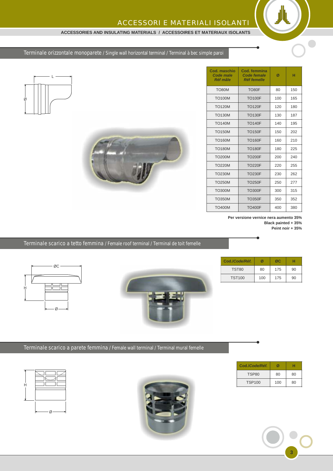#### **ACCESSORIES AND INSULATING MATERIALS / ACCESSOIRES ET MATERIAUX ISOLANTS**

Terminale orizzontale monoparete / Single wall horizontal terminal / Terminal à bec simple paroi





| Cod. maschio<br>Code male<br><b>Réf mâle</b> | Cod. femmina<br>Code female<br><b>Réf femelle</b> | Ø   | н   |
|----------------------------------------------|---------------------------------------------------|-----|-----|
| TO80M                                        | TO80F                                             | 80  | 150 |
| <b>TO100M</b>                                | <b>TO100F</b>                                     | 100 | 165 |
| <b>TO120M</b>                                | <b>TO120F</b>                                     | 120 | 180 |
| <b>TO130M</b>                                | <b>TO130F</b>                                     | 130 | 187 |
| <b>TO140M</b>                                | <b>TO140F</b>                                     | 140 | 195 |
| <b>TO150M</b>                                | <b>TO150F</b>                                     | 150 | 202 |
| <b>TO160M</b>                                | <b>TO160F</b>                                     | 160 | 210 |
| <b>TO180M</b>                                | <b>TO180F</b>                                     | 180 | 225 |
| <b>TO200M</b>                                | <b>TO200F</b>                                     | 200 | 240 |
| <b>TO220M</b>                                | <b>TO220F</b>                                     | 220 | 255 |
| <b>TO230M</b>                                | <b>TO230F</b>                                     | 230 | 262 |
| <b>TO250M</b>                                | <b>TO250F</b>                                     | 250 | 277 |
| <b>TO300M</b>                                | <b>TO300F</b>                                     | 300 | 315 |
| <b>TO350M</b>                                | <b>TO350F</b>                                     | 350 | 352 |
| <b>TO400M</b>                                | <b>TO400F</b>                                     | 400 | 380 |

**Per versione vernice nera aumento 35% Black painted + 35% Peint noir + 35%**

**Cod./***Code/Réf.* **Ø ØC H** TST80 | 80 | 175 | 90 TST100 100 175 90

Terminale scarico a tetto femmina / Female roof terminal / Terminal de toit femelle





Terminale scarico a parete femmina / Female wall terminal / Terminal mural femelle





| Cod./Code/Réf. | ØI  | н  |
|----------------|-----|----|
| TSP80          | 80  | 80 |
| <b>TSP100</b>  | 100 | 80 |

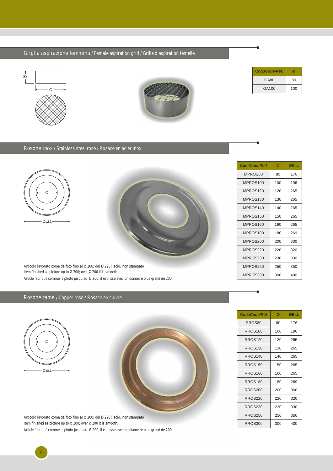Griglia aspirazione femmina / Female aspiration grid / Grille d'aspiration femelle





| Cod./ <i>Code</i> /Réf. |     |
|-------------------------|-----|
| GA80                    | 80  |
| GA100                   | 100 |

#### Rosone inox / Stainless steel rose / Rosace en acier inox



Articolo lavorato come da foto fino al Ø 200; dal Ø 220 liscio, non stampato Item finished as picture up to Ø 200; over Ø 200 it is smooth. Article fabriqué comme la photo jusqu'au Ø 200; il est lisse avec un diamètre plus grand de 200.

#### Rosone rame / Copper rose / Rosace en cuivre



**4**

Articolo lavorato come da foto fino al Ø 200; dal Ø 220 liscio, non stampato Item finished as picture up to Ø 200; over Ø 200 it is smooth.

Article fabriqué comme la photo jusqu'au Ø 200; il est lisse avec un diamètre plus grand de 200.

| Cod./Code/Réf        | Ø   | ØEst. |
|----------------------|-----|-------|
| MPROS80              | 80  | 176   |
| MPROS100             | 100 | 196   |
| MPROS <sub>120</sub> | 120 | 265   |
| MPROS130             | 130 | 265   |
| MPROS140             | 140 | 265   |
| MPROS150             | 150 | 265   |
| MPROS160             | 160 | 265   |
| MPROS180             | 180 | 269   |
| MPROS200             | 200 | 300   |
| MPROS220             | 220 | 320   |
| MPROS230             | 230 | 330   |
| MPROS250             | 250 | 350   |
| MPROS300             | 300 | 400   |

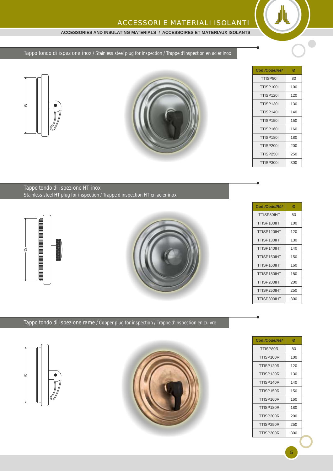#### **ACCESSORIES AND INSULATING MATERIALS / ACCESSOIRES ET MATERIAUX ISOLANTS**

## Tappo tondo di ispezione inox / Stainless steel plug for inspection / Trappe d'inspection en acier inox





| Cod./Code/Réf    | Ø   |
|------------------|-----|
| TTISP80I         | 80  |
| TTISP100I        | 100 |
| <b>TTISP120I</b> | 120 |
| <b>TTISP130I</b> | 130 |
| TTISP140I        | 140 |
| <b>TTISP150I</b> | 150 |
| TTISP160I        | 160 |
| TTISP180I        | 180 |
| <b>TTISP200I</b> | 200 |
| <b>TTISP250I</b> | 250 |
| TTISP300I        | 300 |

 $\bigcirc$ 

Tappo tondo di ispezione HT inox Stainless steel HT plug for inspection / Trappe d'inspection HT en acier inox







Tappo tondo di ispezione rame / Copper plug for inspection / Trappe d'inspection en cuivre





| Cod./Code/Réf | Ø   |
|---------------|-----|
| TTISP80R      | 80  |
| TTISP100R     | 100 |
| TTISP120R     | 120 |
| TTISP130R     | 130 |
| TTISP140R     | 140 |
| TTISP150R     | 150 |
| TTISP160R     | 160 |
| TTISP180R     | 180 |
| TTISP200R     | 200 |
| TTISP250R     | 250 |
| TTISP300R     | 300 |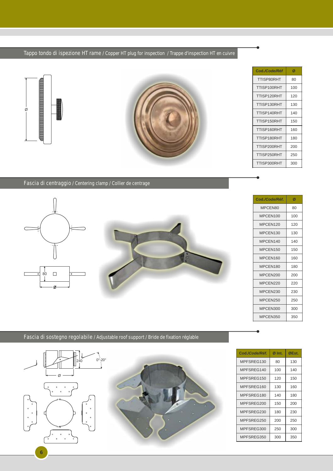## Tappo tondo di ispezione HT rame / Copper HT plug for inspection / Trappe d'inspection HT en cuivre





| Cod./Code/Réf | Ø   |
|---------------|-----|
| TTISP80RHT    | 80  |
| TTISP100RHT   | 100 |
| TTISP120RHT   | 120 |
| TTISP130RHT   | 130 |
| TTISP140RHT   | 140 |
| TTISP150RHT   | 150 |
| TTISP160RHT   | 160 |
| TTISP180RHT   | 180 |
| TTISP200RHT   | 200 |
| TTISP250RHT   | 250 |
| TTISP300RHT   | 300 |

### Fascia di centraggio / Centering clamp / Collier de centrage





| Cod./Code/Réf. | Ø   |
|----------------|-----|
| MPCEN80        | 80  |
| MPCEN100       | 100 |
| MPCEN120       | 120 |
| MPCEN130       | 130 |
| MPCFN140       | 140 |
| MPCEN150       | 150 |
| MPCEN160       | 160 |
| MPCEN180       | 180 |
| MPCEN200       | 200 |
| MPCEN220       | 220 |
| MPCEN230       | 230 |
| MPCEN250       | 250 |
| MPCEN300       | 300 |
| MPCEN350       | 350 |

Fascia di sostegno regolabile / Adjustable roof support / Bride de fixation réglable



| Cod./Code/Réf. | Ø Int. | ØEst. |
|----------------|--------|-------|
| MPFSREG130     | 80     | 130   |
| MPFSREG140     | 100    | 140   |
| MPFSREG150     | 120    | 150   |
| MPFSREG160     | 130    | 160   |
| MPFSREG180     | 140    | 180   |
| MPFSREG200     | 150    | 200   |
| MPFSREG230     | 180    | 230   |
| MPFSREG250     | 200    | 250   |
| MPFSREG300     | 250    | 300   |
| MPFSREG350     | 300    | 350   |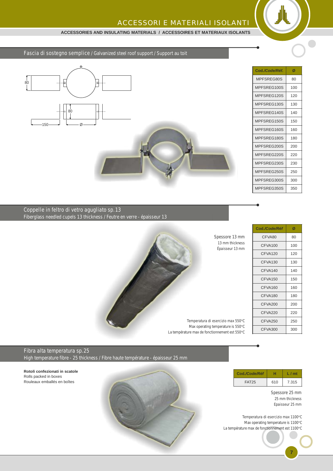#### **ACCESSORIES AND INSULATING MATERIALS / ACCESSOIRES ET MATERIAUX ISOLANTS**

Fascia di sostegno semplice / Galvanized steel roof support / Support au toit



| Cod./Code/Réf. | Ø   |
|----------------|-----|
| MPFSREG80S     | 80  |
| MPFSREG100S    | 100 |
| MPFSREG120S    | 120 |
| MPFSREG130S    | 130 |
| MPFSREG140S    | 140 |
| MPFSREG150S    | 150 |
| MPFSREG160S    | 160 |
| MPFSRFG180S    | 180 |
| MPFSREG200S    | 200 |
| MPFSREG220S    | 220 |
| MPFSREG230S    | 230 |
| MPFSREG250S    | 250 |
| MPFSREG300S    | 300 |
| MPFSREG350S    | 350 |

Coppelle in feltro di vetro agugliato sp.13 Fiberglass needled cupels 13 thickness / Feutre en verre - épaisseur 13



**Cod.***/Code/Réf* **Ø** CFVA80 80 CFVA100 100 CFVA120 120 CFVA130 130 CFVA140 140 CFVA150 150 CFVA160 160 CFVA180 180 CFVA200 200 CFVA220 220 CFVA250 250 CFVA300 300

# Fibra alta temperatura sp.25

High temperature fibre - 25 thickness / Fibre haute température - épaisseur 25 mm

**Rotoli confezionati in scatole** Rolls packed in boxes Rouleaux emballés en boîtes



| Cod./Code/Réf |     |       |
|---------------|-----|-------|
| <b>FAT25</b>  | 610 | 7.315 |

Spessore 25 mm 25 mm thickness Epaisseur 25 mm

**7**

Temperatura di esercizio max 1100°C Max operating temperature is 1100°C La température max de fonctionnement est 1100°C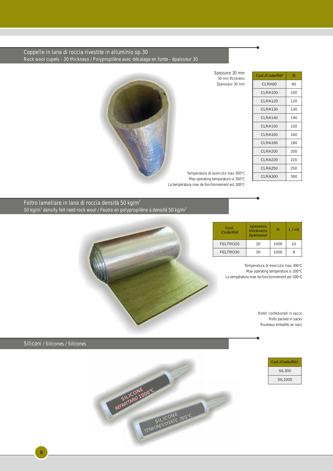Coppelle in lana di roccia rivestite in alluminio sp.30 Rock wool cupels - 30 thickness / Polypropilène avec décalage en fonte - épaisseur 30



Spessore 30 mm 30 mm thickness Épaisseur 30 mm

| Cod./Code/Réf  | Ø   |
|----------------|-----|
| CLRA80         | 80  |
| CLRA100        | 100 |
| CLRA120        | 120 |
| CLRA130        | 130 |
| CLRA140        | 140 |
| CLRA150        | 150 |
| CLRA160        | 160 |
| CLRA180        | 180 |
| <b>CLRA200</b> | 200 |
| <b>CLRA220</b> | 220 |
| <b>CLRA250</b> | 250 |
| CLRA300        | 300 |

Temperatura di esercizio max 300°C Max operating temperature is 300°C La température max de fonctionnement est 300°C

Feltro lamellare in lana di roccia densità 50 kg/m $^{\circ}$ 50 kg/m $^{\circ}$  density felt reed rock wool / Feutre en polypropilène à densité 50 kg/m $^{\circ}$ 



| Cod.<br>Code/Réf | spessore<br>thickness<br>épaisseur | н    | L/mt |
|------------------|------------------------------------|------|------|
| FELTRO20         | 20                                 | 1000 | 10   |
| FELTRO30         | 30                                 | 1000 | я    |

Temperatura di esercizio max 300°C Max operating temperature is 300°C La température max de fonctionnement est 300°C

> Rotoli confezionati in sacco Rolls packed in sacks Rouleaux emballés en sacs

Siliconi / Silicones / Silicones